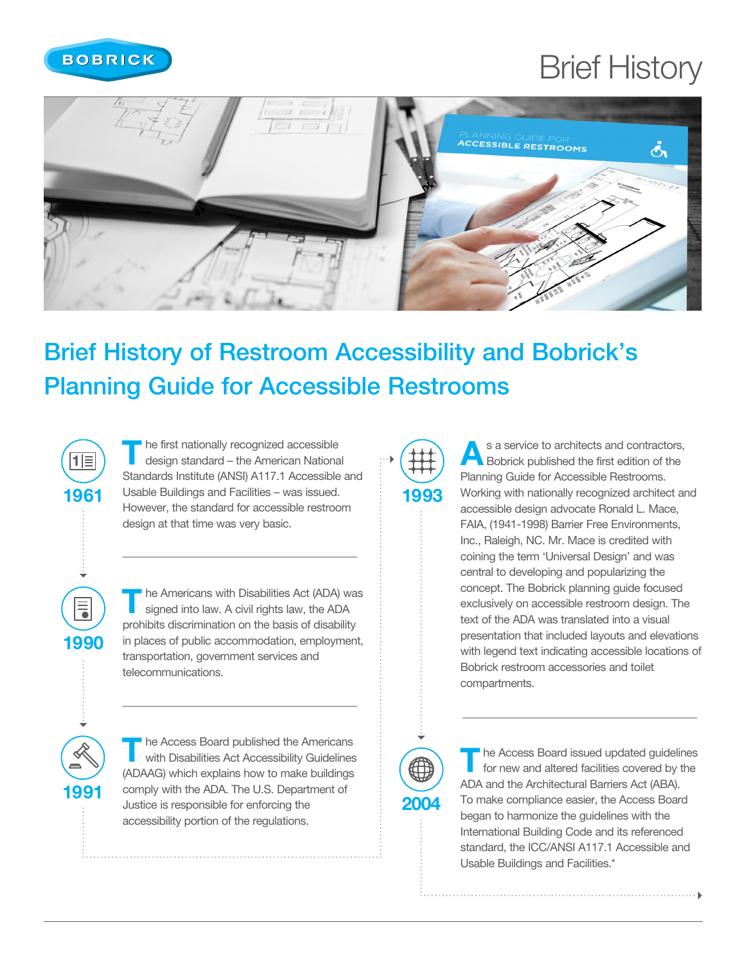

1961

|1|≣

1990

 $\equiv$ 

1991

## Brief History



## Brief History of Restroom Accessibility and Bobrick's Planning Guide for Accessible Restrooms

he first nationally recognized accessible design standard – the American National Standards Institute (ANSI) A117.1 Accessible and Usable Buildings and Facilities – was issued. However, the standard for accessible restroom design at that time was very basic.

The Americans with Disabilities Act (ADA) was signed into law. A civil rights law, the ADA prohibits discrimination on the basis of disability in places of public accommodation, employment, transportation, government services and telecommunications.

The Access Board published the Americans<br>with Disabilities Act Accessibility Guidelines (ADAAG) which explains how to make buildings comply with the ADA. The U.S. Department of Justice is responsible for enforcing the accessibility portion of the regulations.

1993

As a service to architects and contractors,<br>Bobrick published the first edition of the Planning Guide for Accessible Restrooms. Working with nationally recognized architect and accessible design advocate Ronald L. Mace, FAIA, (1941-1998) Barrier Free Environments, Inc., Raleigh, NC. Mr. Mace is credited with coining the term 'Universal Design' and was central to developing and popularizing the concept. The Bobrick planning guide focused exclusively on accessible restroom design. The text of the ADA was translated into a visual presentation that included layouts and elevations with legend text indicating accessible locations of Bobrick restroom accessories and toilet compartments.



I he Access Board issued updated guidelines for new and altered facilities covered by the ADA and the Architectural Barriers Act (ABA). To make compliance easier, the Access Board began to harmonize the guidelines with the International Building Code and its referenced standard, the ICC/ANSI A117.1 Accessible and Usable Buildings and Facilities.\*